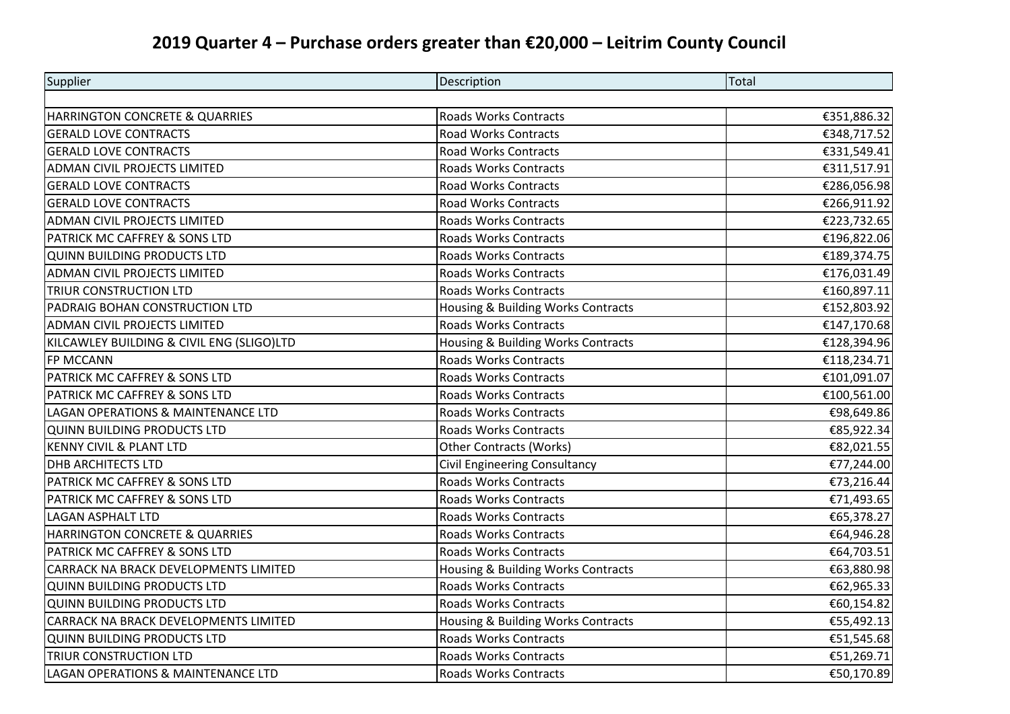## **2019 Quarter 4 – Purchase orders greater than €20,000 – Leitrim County Council**

| Supplier                                  | Description                        | Total       |
|-------------------------------------------|------------------------------------|-------------|
|                                           |                                    |             |
| HARRINGTON CONCRETE & QUARRIES            | <b>Roads Works Contracts</b>       | €351,886.32 |
| <b>GERALD LOVE CONTRACTS</b>              | Road Works Contracts               | €348,717.52 |
| <b>GERALD LOVE CONTRACTS</b>              | <b>Road Works Contracts</b>        | €331,549.41 |
| <b>ADMAN CIVIL PROJECTS LIMITED</b>       | Roads Works Contracts              | €311,517.91 |
| <b>GERALD LOVE CONTRACTS</b>              | Road Works Contracts               | €286,056.98 |
| <b>GERALD LOVE CONTRACTS</b>              | <b>Road Works Contracts</b>        | €266,911.92 |
| ADMAN CIVIL PROJECTS LIMITED              | <b>Roads Works Contracts</b>       | €223,732.65 |
| PATRICK MC CAFFREY & SONS LTD             | <b>Roads Works Contracts</b>       | €196,822.06 |
| <b>QUINN BUILDING PRODUCTS LTD</b>        | <b>Roads Works Contracts</b>       | €189,374.75 |
| <b>ADMAN CIVIL PROJECTS LIMITED</b>       | Roads Works Contracts              | €176,031.49 |
| <b>TRIUR CONSTRUCTION LTD</b>             | <b>Roads Works Contracts</b>       | €160,897.11 |
| PADRAIG BOHAN CONSTRUCTION LTD            | Housing & Building Works Contracts | €152,803.92 |
| ADMAN CIVIL PROJECTS LIMITED              | <b>Roads Works Contracts</b>       | €147,170.68 |
| KILCAWLEY BUILDING & CIVIL ENG (SLIGO)LTD | Housing & Building Works Contracts | €128,394.96 |
| FP MCCANN                                 | <b>Roads Works Contracts</b>       | €118,234.71 |
| PATRICK MC CAFFREY & SONS LTD             | <b>Roads Works Contracts</b>       | €101,091.07 |
| PATRICK MC CAFFREY & SONS LTD             | <b>Roads Works Contracts</b>       | €100,561.00 |
| LAGAN OPERATIONS & MAINTENANCE LTD        | <b>Roads Works Contracts</b>       | €98,649.86  |
| <b>QUINN BUILDING PRODUCTS LTD</b>        | <b>Roads Works Contracts</b>       | €85,922.34  |
| <b>KENNY CIVIL &amp; PLANT LTD</b>        | <b>Other Contracts (Works)</b>     | €82,021.55  |
| <b>DHB ARCHITECTS LTD</b>                 | Civil Engineering Consultancy      | €77,244.00  |
| PATRICK MC CAFFREY & SONS LTD             | <b>Roads Works Contracts</b>       | €73,216.44  |
| PATRICK MC CAFFREY & SONS LTD             | <b>Roads Works Contracts</b>       | €71,493.65  |
| <b>LAGAN ASPHALT LTD</b>                  | <b>Roads Works Contracts</b>       | €65,378.27  |
| HARRINGTON CONCRETE & QUARRIES            | <b>Roads Works Contracts</b>       | €64,946.28  |
| PATRICK MC CAFFREY & SONS LTD             | <b>Roads Works Contracts</b>       | €64,703.51  |
| CARRACK NA BRACK DEVELOPMENTS LIMITED     | Housing & Building Works Contracts | €63,880.98  |
| <b>QUINN BUILDING PRODUCTS LTD</b>        | <b>Roads Works Contracts</b>       | €62,965.33  |
| <b>QUINN BUILDING PRODUCTS LTD</b>        | Roads Works Contracts              | €60,154.82  |
| CARRACK NA BRACK DEVELOPMENTS LIMITED     | Housing & Building Works Contracts | €55,492.13  |
| <b>QUINN BUILDING PRODUCTS LTD</b>        | <b>Roads Works Contracts</b>       | €51,545.68  |
| TRIUR CONSTRUCTION LTD                    | Roads Works Contracts              | €51,269.71  |
| LAGAN OPERATIONS & MAINTENANCE LTD        | <b>Roads Works Contracts</b>       | €50,170.89  |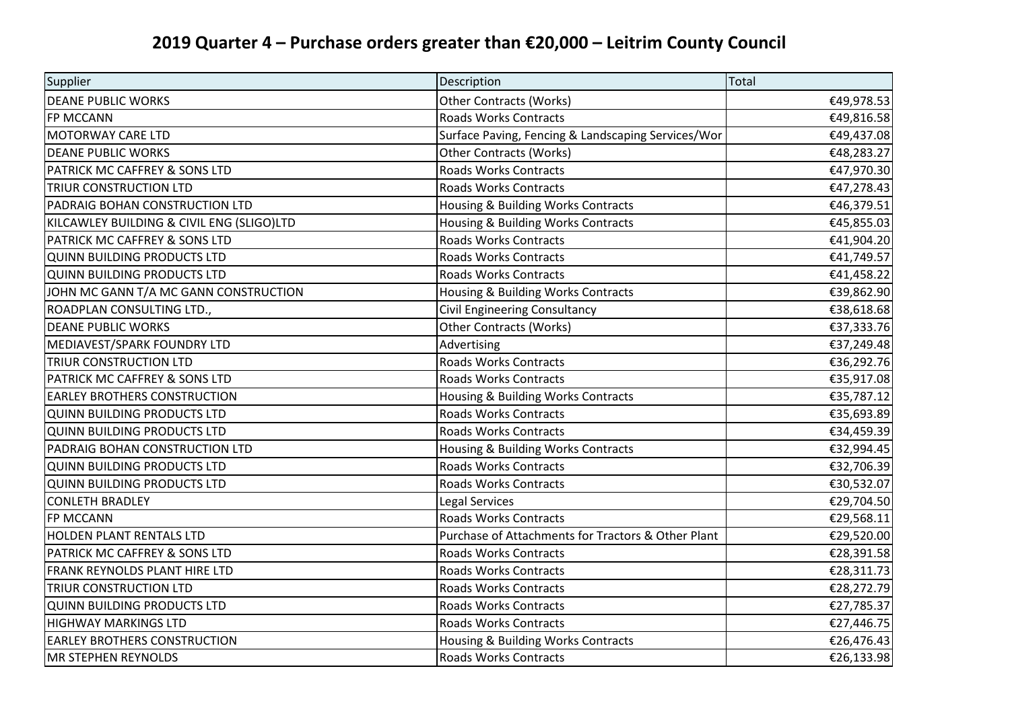## **2019 Quarter 4 – Purchase orders greater than €20,000 – Leitrim County Council**

| Supplier                                  | Description                                        | Total      |
|-------------------------------------------|----------------------------------------------------|------------|
| <b>DEANE PUBLIC WORKS</b>                 | <b>Other Contracts (Works)</b>                     | €49,978.53 |
| FP MCCANN                                 | <b>Roads Works Contracts</b>                       | €49,816.58 |
| <b>MOTORWAY CARE LTD</b>                  | Surface Paving, Fencing & Landscaping Services/Wor | €49,437.08 |
| <b>DEANE PUBLIC WORKS</b>                 | <b>Other Contracts (Works)</b>                     | €48,283.27 |
| PATRICK MC CAFFREY & SONS LTD             | <b>Roads Works Contracts</b>                       | €47,970.30 |
| <b>TRIUR CONSTRUCTION LTD</b>             | <b>Roads Works Contracts</b>                       | €47,278.43 |
| PADRAIG BOHAN CONSTRUCTION LTD            | Housing & Building Works Contracts                 | €46,379.51 |
| KILCAWLEY BUILDING & CIVIL ENG (SLIGO)LTD | Housing & Building Works Contracts                 | €45,855.03 |
| PATRICK MC CAFFREY & SONS LTD             | <b>Roads Works Contracts</b>                       | €41,904.20 |
| <b>QUINN BUILDING PRODUCTS LTD</b>        | <b>Roads Works Contracts</b>                       | €41,749.57 |
| <b>QUINN BUILDING PRODUCTS LTD</b>        | <b>Roads Works Contracts</b>                       | €41,458.22 |
| JOHN MC GANN T/A MC GANN CONSTRUCTION     | Housing & Building Works Contracts                 | €39,862.90 |
| ROADPLAN CONSULTING LTD.,                 | <b>Civil Engineering Consultancy</b>               | €38,618.68 |
| <b>DEANE PUBLIC WORKS</b>                 | <b>Other Contracts (Works)</b>                     | €37,333.76 |
| MEDIAVEST/SPARK FOUNDRY LTD               | Advertising                                        | €37,249.48 |
| <b>TRIUR CONSTRUCTION LTD</b>             | <b>Roads Works Contracts</b>                       | €36,292.76 |
| PATRICK MC CAFFREY & SONS LTD             | <b>Roads Works Contracts</b>                       | €35,917.08 |
| <b>EARLEY BROTHERS CONSTRUCTION</b>       | Housing & Building Works Contracts                 | €35,787.12 |
| <b>QUINN BUILDING PRODUCTS LTD</b>        | <b>Roads Works Contracts</b>                       | €35,693.89 |
| <b>QUINN BUILDING PRODUCTS LTD</b>        | <b>Roads Works Contracts</b>                       | €34,459.39 |
| PADRAIG BOHAN CONSTRUCTION LTD            | Housing & Building Works Contracts                 | €32,994.45 |
| <b>QUINN BUILDING PRODUCTS LTD</b>        | <b>Roads Works Contracts</b>                       | €32,706.39 |
| <b>QUINN BUILDING PRODUCTS LTD</b>        | <b>Roads Works Contracts</b>                       | €30,532.07 |
| <b>CONLETH BRADLEY</b>                    | Legal Services                                     | €29,704.50 |
| <b>FP MCCANN</b>                          | <b>Roads Works Contracts</b>                       | €29,568.11 |
| <b>HOLDEN PLANT RENTALS LTD</b>           | Purchase of Attachments for Tractors & Other Plant | €29,520.00 |
| PATRICK MC CAFFREY & SONS LTD             | <b>Roads Works Contracts</b>                       | €28,391.58 |
| FRANK REYNOLDS PLANT HIRE LTD             | <b>Roads Works Contracts</b>                       | €28,311.73 |
| <b>TRIUR CONSTRUCTION LTD</b>             | <b>Roads Works Contracts</b>                       | €28,272.79 |
| <b>QUINN BUILDING PRODUCTS LTD</b>        | <b>Roads Works Contracts</b>                       | €27,785.37 |
| <b>HIGHWAY MARKINGS LTD</b>               | <b>Roads Works Contracts</b>                       | €27,446.75 |
| <b>EARLEY BROTHERS CONSTRUCTION</b>       | <b>Housing &amp; Building Works Contracts</b>      | €26,476.43 |
| <b>MR STEPHEN REYNOLDS</b>                | <b>Roads Works Contracts</b>                       | €26,133.98 |